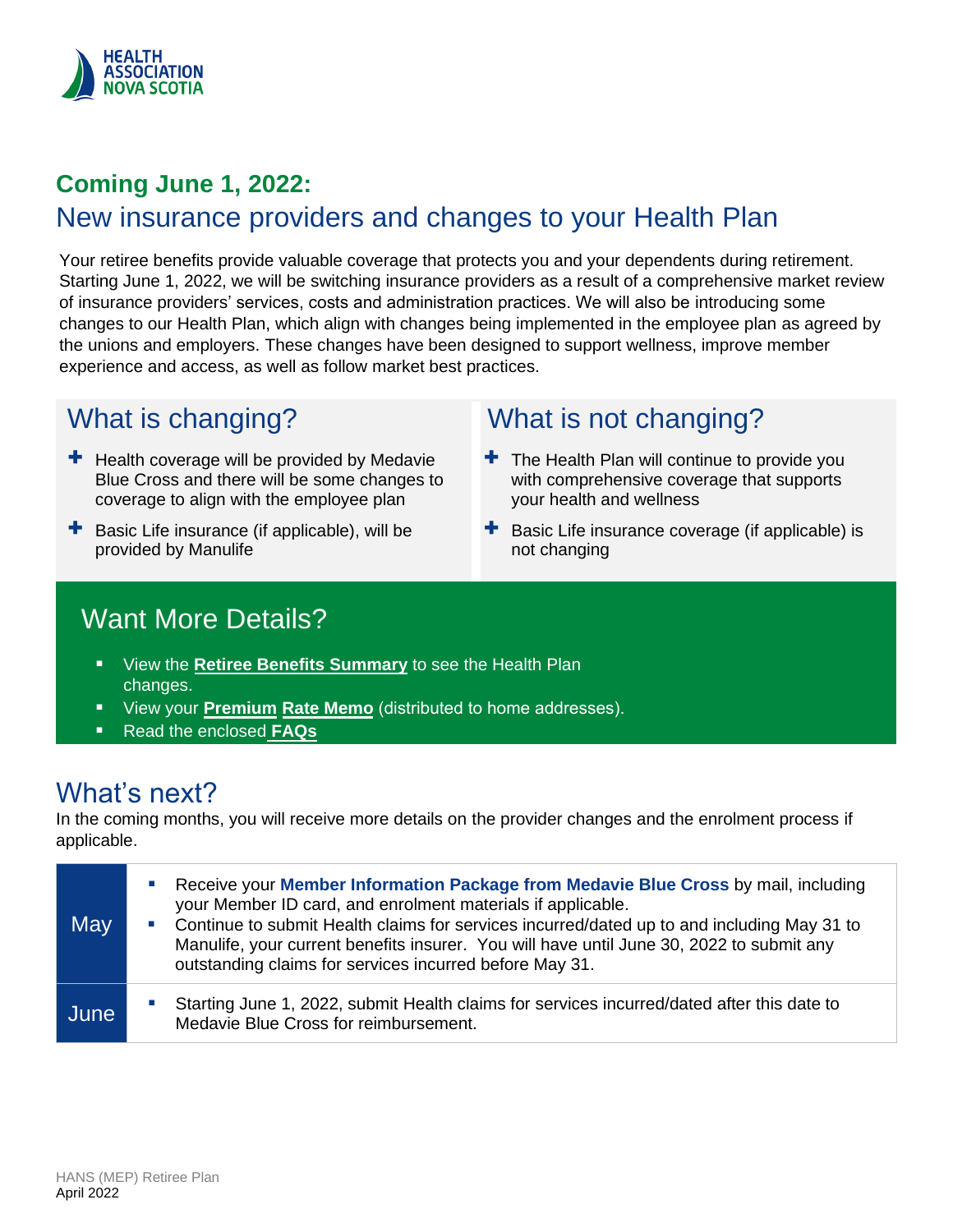

## **Coming June 1, 2022:** New insurance providers and changes to your Health Plan

Your retiree benefits provide valuable coverage that protects you and your dependents during retirement. Starting June 1, 2022, we will be switching insurance providers as a result of a comprehensive market review of insurance providers' services, costs and administration practices. We will also be introducing some changes to our Health Plan, which align with changes being implemented in the employee plan as agreed by the unions and employers. These changes have been designed to support wellness, improve member experience and access, as well as follow market best practices.

## What is changing?

- $\pm$  Health coverage will be provided by Medavie Blue Cross and there will be some changes to coverage to align with the employee plan
- $\pm$  Basic Life insurance (if applicable), will be provided by Manulife

## What is not changing?

- $\pm$  The Health Plan will continue to provide you with comprehensive coverage that supports your health and wellness
- $\pm$  Basic Life insurance coverage (if applicable) is not changing

## Want More Details?

- View the **[Retiree Benefits Summary](#page-2-0)** to see the Health Plan changes.
- View your **Premium Rate Memo** (distributed to home addresses).
- Read the enclosed **[FAQs](#page-1-0)**

## What's next?

In the coming months, you will receive more details on the provider changes and the enrolment process if applicable.

| May  | Receive your Member Information Package from Medavie Blue Cross by mail, including<br>$\blacksquare$<br>your Member ID card, and enrolment materials if applicable.<br>• Continue to submit Health claims for services incurred/dated up to and including May 31 to<br>Manulife, your current benefits insurer. You will have until June 30, 2022 to submit any<br>outstanding claims for services incurred before May 31. |
|------|----------------------------------------------------------------------------------------------------------------------------------------------------------------------------------------------------------------------------------------------------------------------------------------------------------------------------------------------------------------------------------------------------------------------------|
| June | Starting June 1, 2022, submit Health claims for services incurred/dated after this date to<br>$\mathcal{L}_{\mathcal{A}}$<br>Medavie Blue Cross for reimbursement.                                                                                                                                                                                                                                                         |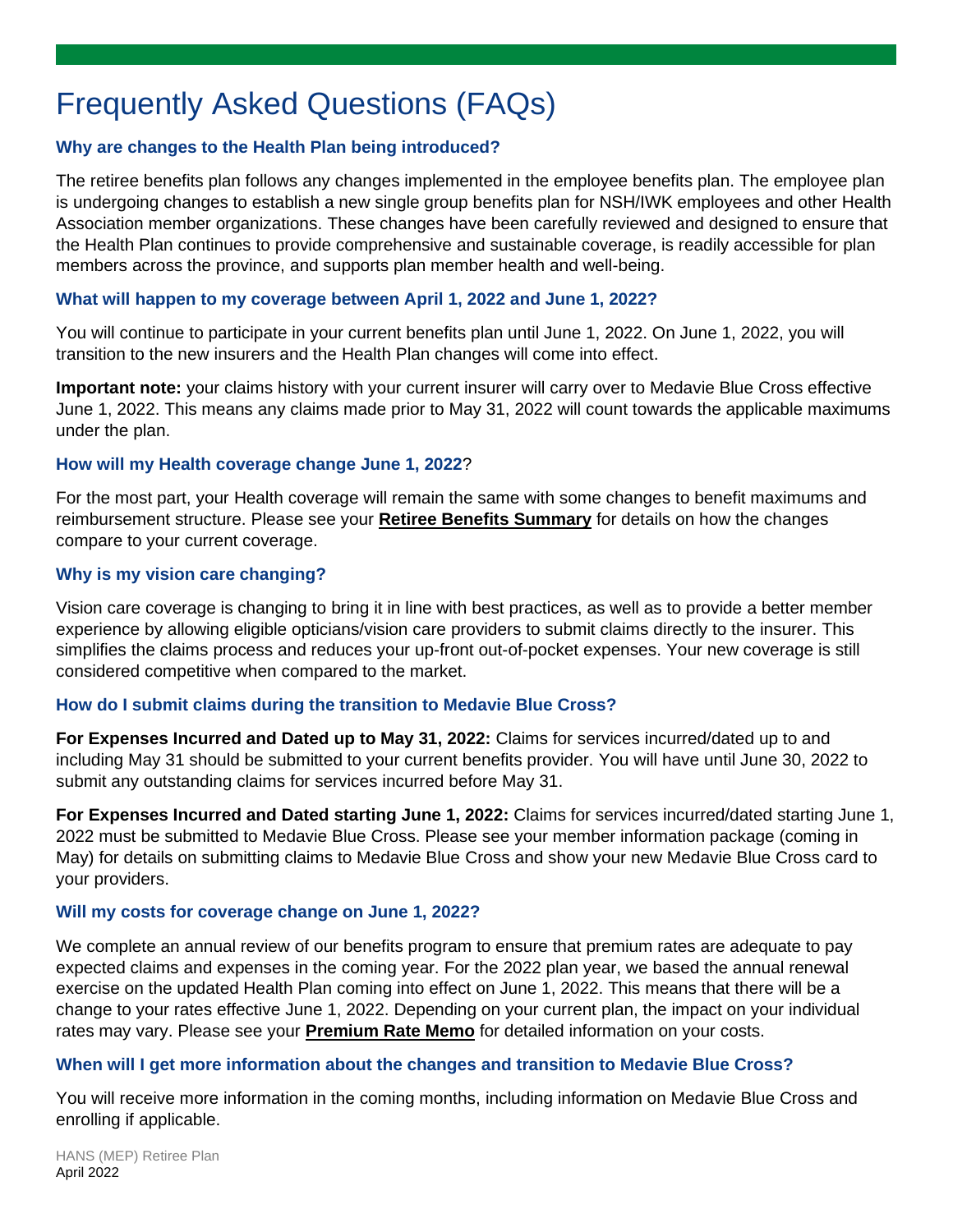## <span id="page-1-0"></span>Frequently Asked Questions (FAQs)

#### **Why are changes to the Health Plan being introduced?**

The retiree benefits plan follows any changes implemented in the employee benefits plan. The employee plan is undergoing changes to establish a new single group benefits plan for NSH/IWK employees and other Health Association member organizations. These changes have been carefully reviewed and designed to ensure that the Health Plan continues to provide comprehensive and sustainable coverage, is readily accessible for plan members across the province, and supports plan member health and well-being.

#### **What will happen to my coverage between April 1, 2022 and June 1, 2022?**

You will continue to participate in your current benefits plan until June 1, 2022. On June 1, 2022, you will transition to the new insurers and the Health Plan changes will come into effect.

**Important note:** your claims history with your current insurer will carry over to Medavie Blue Cross effective June 1, 2022. This means any claims made prior to May 31, 2022 will count towards the applicable maximums under the plan.

#### **How will my Health coverage change June 1, 2022**?

For the most part, your Health coverage will remain the same with some changes to benefit maximums and reimbursement structure. Please see your **Retiree [Benefits Summary](#page-2-0)** for details on how the changes compare to your current coverage.

#### **Why is my vision care changing?**

Vision care coverage is changing to bring it in line with best practices, as well as to provide a better member experience by allowing eligible opticians/vision care providers to submit claims directly to the insurer. This simplifies the claims process and reduces your up-front out-of-pocket expenses. Your new coverage is still considered competitive when compared to the market.

#### **How do I submit claims during the transition to Medavie Blue Cross?**

**For Expenses Incurred and Dated up to May 31, 2022:** Claims for services incurred/dated up to and including May 31 should be submitted to your current benefits provider. You will have until June 30, 2022 to submit any outstanding claims for services incurred before May 31.

**For Expenses Incurred and Dated starting June 1, 2022:** Claims for services incurred/dated starting June 1, 2022 must be submitted to Medavie Blue Cross. Please see your member information package (coming in May) for details on submitting claims to Medavie Blue Cross and show your new Medavie Blue Cross card to your providers.

#### **Will my costs for coverage change on June 1, 2022?**

We complete an annual review of our benefits program to ensure that premium rates are adequate to pay expected claims and expenses in the coming year. For the 2022 plan year, we based the annual renewal exercise on the updated Health Plan coming into effect on June 1, 2022. This means that there will be a change to your rates effective June 1, 2022. Depending on your current plan, the impact on your individual rates may vary. Please see your **Premium Rate Memo** for detailed information on your costs.

#### **When will I get more information about the changes and transition to Medavie Blue Cross?**

You will receive more information in the coming months, including information on Medavie Blue Cross and enrolling if applicable.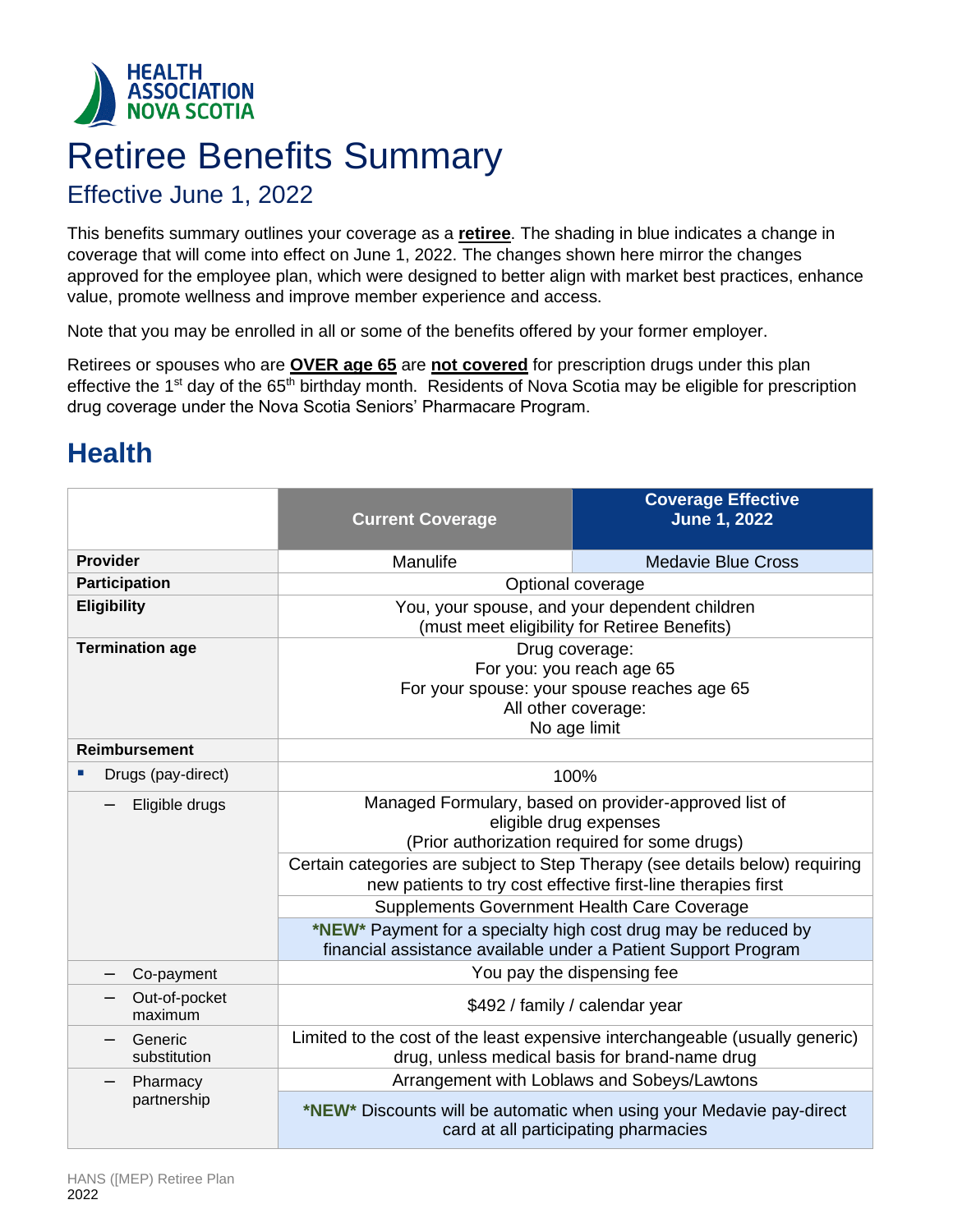<span id="page-2-0"></span>

# Retiree Benefits Summary

### Effective June 1, 2022

This benefits summary outlines your coverage as a **retiree**. The shading in blue indicates a change in coverage that will come into effect on June 1, 2022. The changes shown here mirror the changes approved for the employee plan, which were designed to better align with market best practices, enhance value, promote wellness and improve member experience and access.

Note that you may be enrolled in all or some of the benefits offered by your former employer.

Retirees or spouses who are **OVER age 65** are **not covered** for prescription drugs under this plan effective the 1<sup>st</sup> day of the 65<sup>th</sup> birthday month. Residents of Nova Scotia may be eligible for prescription drug coverage under the Nova Scotia Seniors' Pharmacare Program.

## **Health**

|                          | <b>Current Coverage</b>                                                                                                                       | <b>Coverage Effective</b><br><b>June 1, 2022</b>                                                                               |
|--------------------------|-----------------------------------------------------------------------------------------------------------------------------------------------|--------------------------------------------------------------------------------------------------------------------------------|
| <b>Provider</b>          | Manulife                                                                                                                                      | <b>Medavie Blue Cross</b>                                                                                                      |
| <b>Participation</b>     | Optional coverage                                                                                                                             |                                                                                                                                |
| <b>Eligibility</b>       | You, your spouse, and your dependent children<br>(must meet eligibility for Retiree Benefits)                                                 |                                                                                                                                |
| <b>Termination age</b>   | Drug coverage:                                                                                                                                |                                                                                                                                |
|                          | For you: you reach age 65                                                                                                                     |                                                                                                                                |
|                          | For your spouse: your spouse reaches age 65<br>All other coverage:                                                                            |                                                                                                                                |
|                          | No age limit                                                                                                                                  |                                                                                                                                |
| <b>Reimbursement</b>     |                                                                                                                                               |                                                                                                                                |
| Drugs (pay-direct)<br>ш  |                                                                                                                                               | 100%                                                                                                                           |
| Eligible drugs           | Managed Formulary, based on provider-approved list of<br>eligible drug expenses<br>(Prior authorization required for some drugs)              |                                                                                                                                |
|                          | Certain categories are subject to Step Therapy (see details below) requiring<br>new patients to try cost effective first-line therapies first |                                                                                                                                |
|                          | Supplements Government Health Care Coverage                                                                                                   |                                                                                                                                |
|                          | *NEW* Payment for a specialty high cost drug may be reduced by<br>financial assistance available under a Patient Support Program              |                                                                                                                                |
| Co-payment               | You pay the dispensing fee                                                                                                                    |                                                                                                                                |
| Out-of-pocket<br>maximum | \$492 / family / calendar year                                                                                                                |                                                                                                                                |
| Generic<br>substitution  |                                                                                                                                               | Limited to the cost of the least expensive interchangeable (usually generic)<br>drug, unless medical basis for brand-name drug |
| Pharmacy                 |                                                                                                                                               | Arrangement with Loblaws and Sobeys/Lawtons                                                                                    |
| partnership              |                                                                                                                                               | *NEW* Discounts will be automatic when using your Medavie pay-direct<br>card at all participating pharmacies                   |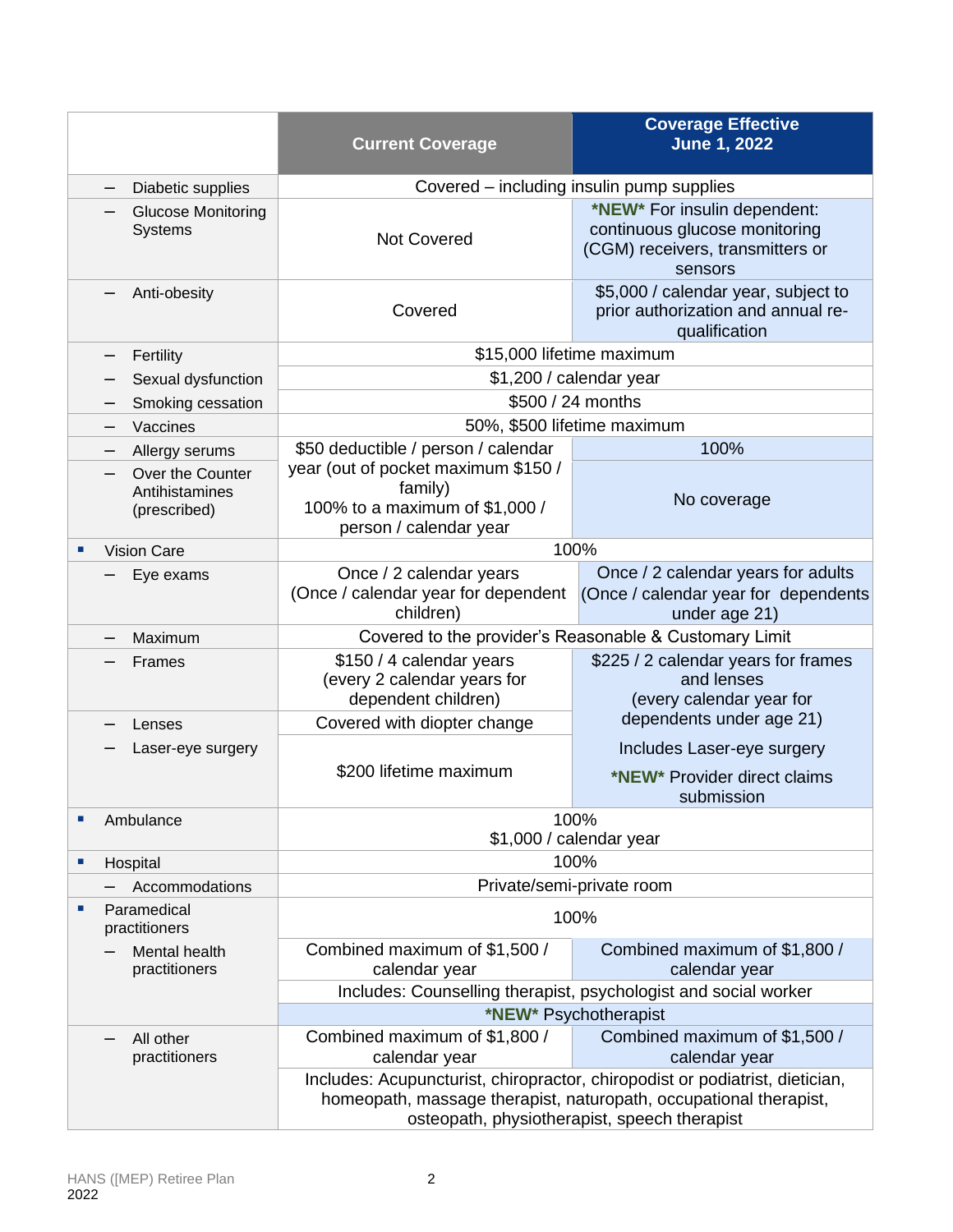|                                   |                                                    | <b>Current Coverage</b>                                                                                                                                                                           | <b>Coverage Effective</b><br><b>June 1, 2022</b>                                                             |  |
|-----------------------------------|----------------------------------------------------|---------------------------------------------------------------------------------------------------------------------------------------------------------------------------------------------------|--------------------------------------------------------------------------------------------------------------|--|
|                                   | Diabetic supplies                                  | Covered – including insulin pump supplies                                                                                                                                                         |                                                                                                              |  |
|                                   | <b>Glucose Monitoring</b><br>Systems               | <b>Not Covered</b>                                                                                                                                                                                | *NEW* For insulin dependent:<br>continuous glucose monitoring<br>(CGM) receivers, transmitters or<br>sensors |  |
|                                   | Anti-obesity                                       | Covered                                                                                                                                                                                           | \$5,000 / calendar year, subject to<br>prior authorization and annual re-<br>qualification                   |  |
|                                   | Fertility<br>—                                     |                                                                                                                                                                                                   | \$15,000 lifetime maximum                                                                                    |  |
|                                   | Sexual dysfunction                                 |                                                                                                                                                                                                   | \$1,200 / calendar year                                                                                      |  |
|                                   | Smoking cessation                                  |                                                                                                                                                                                                   | \$500 / 24 months                                                                                            |  |
|                                   | Vaccines                                           |                                                                                                                                                                                                   | 50%, \$500 lifetime maximum                                                                                  |  |
|                                   | Allergy serums                                     | \$50 deductible / person / calendar                                                                                                                                                               | 100%                                                                                                         |  |
|                                   | Over the Counter<br>Antihistamines<br>(prescribed) | year (out of pocket maximum \$150 /<br>family)<br>100% to a maximum of \$1,000 /<br>person / calendar year                                                                                        | No coverage                                                                                                  |  |
| ×                                 | <b>Vision Care</b>                                 |                                                                                                                                                                                                   | 100%                                                                                                         |  |
|                                   | Eye exams                                          | Once / 2 calendar years<br>(Once / calendar year for dependent<br>children)                                                                                                                       | Once / 2 calendar years for adults<br>(Once / calendar year for dependents<br>under age 21)                  |  |
|                                   | Maximum                                            |                                                                                                                                                                                                   | Covered to the provider's Reasonable & Customary Limit                                                       |  |
|                                   | Frames                                             | \$150 / 4 calendar years<br>(every 2 calendar years for<br>dependent children)                                                                                                                    | \$225 / 2 calendar years for frames<br>and lenses<br>(every calendar year for                                |  |
|                                   | Lenses                                             | Covered with diopter change                                                                                                                                                                       | dependents under age 21)                                                                                     |  |
|                                   | Laser-eye surgery                                  | \$200 lifetime maximum                                                                                                                                                                            | Includes Laser-eye surgery<br>*NEW* Provider direct claims<br>submission                                     |  |
| ×                                 | Ambulance                                          |                                                                                                                                                                                                   | 100%                                                                                                         |  |
|                                   |                                                    |                                                                                                                                                                                                   | \$1,000 / calendar year                                                                                      |  |
| ш                                 | Hospital                                           |                                                                                                                                                                                                   | 100%                                                                                                         |  |
|                                   | Accommodations                                     | Private/semi-private room                                                                                                                                                                         |                                                                                                              |  |
| Paramedical<br>×<br>practitioners |                                                    |                                                                                                                                                                                                   | 100%                                                                                                         |  |
|                                   | Mental health<br>practitioners                     | Combined maximum of \$1,500 /<br>calendar year                                                                                                                                                    | Combined maximum of \$1,800 /<br>calendar year                                                               |  |
|                                   |                                                    |                                                                                                                                                                                                   | Includes: Counselling therapist, psychologist and social worker                                              |  |
|                                   |                                                    | *NEW* Psychotherapist                                                                                                                                                                             |                                                                                                              |  |
|                                   | All other<br>practitioners                         | Combined maximum of \$1,800 /<br>calendar year                                                                                                                                                    | Combined maximum of \$1,500 /<br>calendar year                                                               |  |
|                                   |                                                    | Includes: Acupuncturist, chiropractor, chiropodist or podiatrist, dietician,<br>homeopath, massage therapist, naturopath, occupational therapist,<br>osteopath, physiotherapist, speech therapist |                                                                                                              |  |